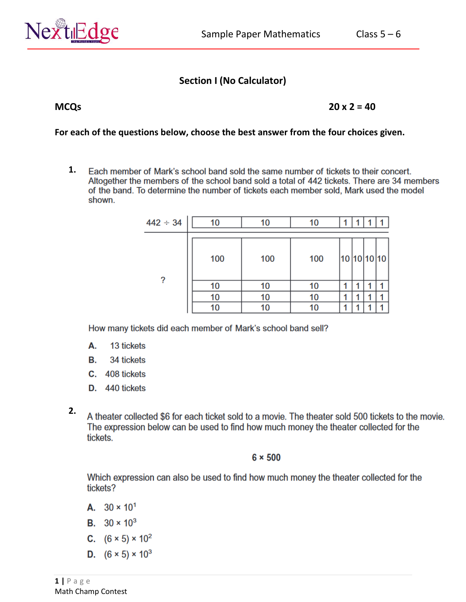

# **Section I (No Calculator)**

**MCQs 20 x 2 = 40** 

#### **For each of the questions below, choose the best answer from the four choices given.**

**1.** Each member of Mark's school band sold the same number of tickets to their concert. Altogether the members of the school band sold a total of 442 tickets. There are 34 members of the band. To determine the number of tickets each member sold, Mark used the model shown.

| $442 \div 34$ | 10  | 10  | 10  |             |  |  |
|---------------|-----|-----|-----|-------------|--|--|
| 2             | 100 | 100 | 100 | 10 10 10 10 |  |  |
|               | 10  | 10  | 10  |             |  |  |
|               | 10  | 10  | 10  |             |  |  |
|               |     | 10  | 10  |             |  |  |

How many tickets did each member of Mark's school band sell?

- 13 tickets А.
- 34 tickets В.
- C. 408 tickets
- D. 440 tickets
- **2.**A theater collected \$6 for each ticket sold to a movie. The theater sold 500 tickets to the movie. The expression below can be used to find how much money the theater collected for the tickets.

#### $6 \times 500$

Which expression can also be used to find how much money the theater collected for the tickets?

- A.  $30 \times 10^{1}$
- **B.**  $30 \times 10^3$
- C.  $(6 \times 5) \times 10^2$
- **D.**  $(6 \times 5) \times 10^3$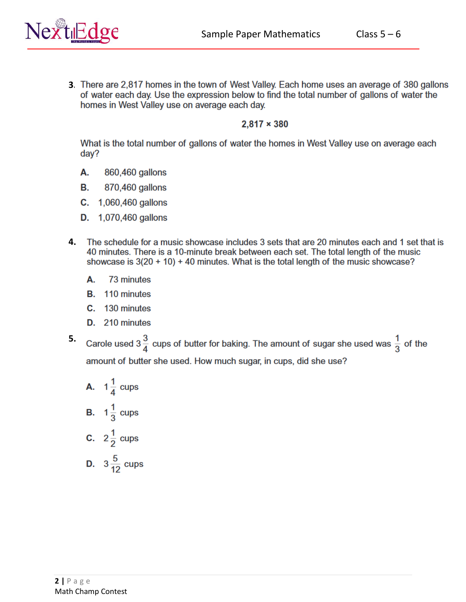

**3.** There are 2,817 homes in the town of West Valley. Each home uses an average of 380 gallons of water each day. Use the expression below to find the total number of gallons of water the homes in West Valley use on average each day.

#### $2,817 \times 380$

What is the total number of gallons of water the homes in West Valley use on average each day?

- А. 860,460 gallons
- В. 870,460 gallons
- $C. 1,060,460$  gallons
- **D.** 1,070,460 gallons
- 4. The schedule for a music showcase includes 3 sets that are 20 minutes each and 1 set that is 40 minutes. There is a 10-minute break between each set. The total length of the music showcase is  $3(20 + 10) + 40$  minutes. What is the total length of the music showcase?
	- А. 73 minutes
	- **B.** 110 minutes
	- C. 130 minutes
	- D. 210 minutes
- **5.**Carole used 3 $\frac{3}{4}$  cups of butter for baking. The amount of sugar she used was  $\frac{1}{3}$  of the amount of butter she used. How much sugar, in cups, did she use?

**A.** 
$$
1\frac{1}{4}
$$
 cups\n\n**B.**  $1\frac{1}{3}$  cups\n\n**C.**  $2\frac{1}{2}$  cups\n\n**D.**  $3\frac{5}{12}$  cups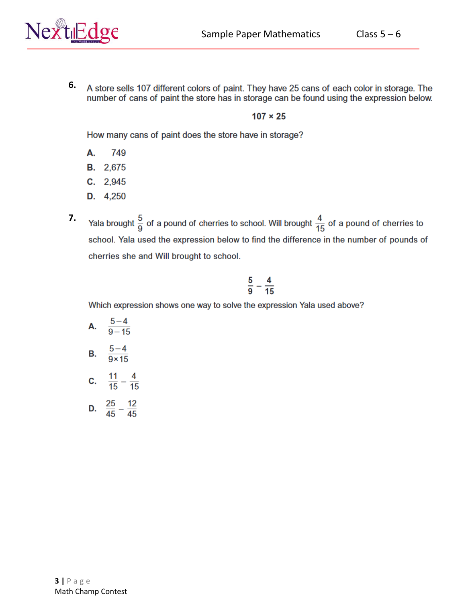

**6.** A store sells 107 different colors of paint. They have 25 cans of each color in storage. The number of cans of paint the store has in storage can be found using the expression below.

## $107 \times 25$

How many cans of paint does the store have in storage?

- А. 749
- **B.** 2,675
- $C. 2,945$
- D. 4,250
- Yala brought  $\frac{5}{9}$  of a pound of cherries to school. Will brought  $\frac{4}{15}$  of a pound of cherries to **7.**school. Yala used the expression below to find the difference in the number of pounds of cherries she and Will brought to school.

$$
\frac{5}{9}-\frac{4}{15}
$$

Which expression shows one way to solve the expression Yala used above?

A.  $\frac{5-4}{9-15}$ 

B. 
$$
\frac{5-4}{9 \times 15}
$$

- **c.**  $\frac{11}{15} \frac{4}{15}$
- **D.**  $\frac{25}{45} \frac{12}{45}$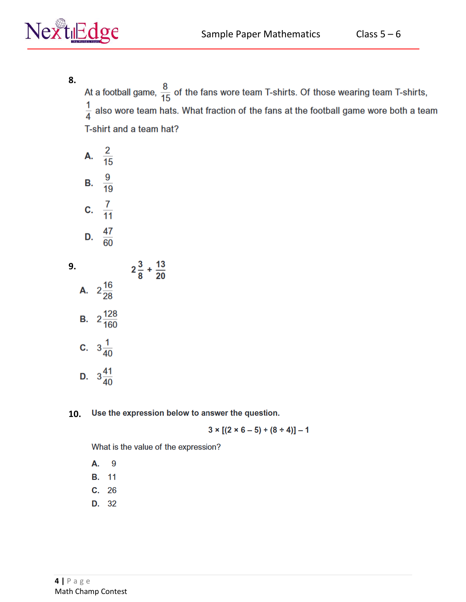

**8.**

At a football game,  $\frac{8}{15}$  of the fans wore team T-shirts. Of those wearing team T-shirts,  $\frac{1}{4}$  also wore team hats. What fraction of the fans at the football game wore both a team T-shirt and a team hat?

|    | А.                         | $rac{2}{15}$                 |                                |  |
|----|----------------------------|------------------------------|--------------------------------|--|
|    | B.                         | $\frac{9}{19}$               |                                |  |
|    |                            | c. $\frac{7}{11}$            |                                |  |
|    |                            | D. $\frac{47}{60}$           |                                |  |
| 9. |                            |                              | $2\frac{3}{8} + \frac{13}{20}$ |  |
|    | A. $2\frac{16}{28}$        |                              |                                |  |
|    |                            | <b>B.</b> $2\frac{128}{160}$ |                                |  |
|    | <b>C.</b> $3\frac{1}{40}$  |                              |                                |  |
|    | <b>D.</b> $3\frac{41}{40}$ |                              |                                |  |

#### Use the expression below to answer the question. **10.**

 $3 \times [(2 \times 6 - 5) + (8 \div 4)] - 1$ 

What is the value of the expression?

9 А.

- **B.** 11
- $C. 26$
- D. 32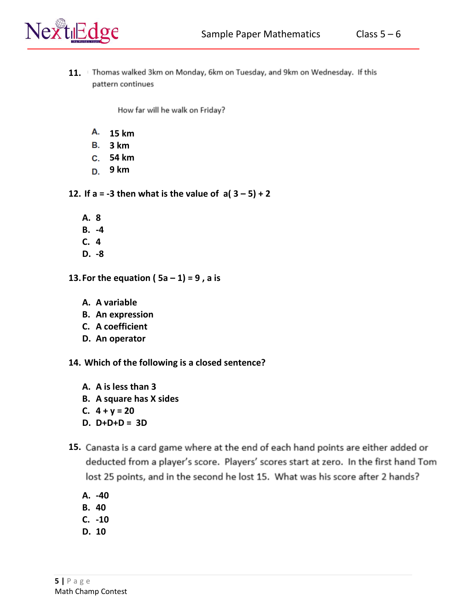

11. Thomas walked 3km on Monday, 6km on Tuesday, and 9km on Wednesday. If this pattern continues

How far will he walk on Friday?

- **15 km**
- **3 km**
- **54 km**
- **9 km**

**12.** If a =  $-3$  then what is the value of  $a(3-5)+2$ 

- **A. 8**
- **B. -4**
- **C. 4**
- **D. -8**
- **13. For the equation (** $5a 1$ **) = 9, a is** 
	- **A. A variable**
	- **B. An expression**
	- **C. A coefficient**
	- **D. An operator**
- **14. Which of the following is a closed sentence?**
	- **A. A is less than 3 B. A square has X sides C. 4 + y = 20**
	- **D. D+D+D = 3D**
- 15. Canasta is a card game where at the end of each hand points are either added or deducted from a player's score. Players' scores start at zero. In the first hand Tom lost 25 points, and in the second he lost 15. What was his score after 2 hands?
	- **A. -40**
	- **B. 40**
	- **C. -10**
	- **D. 10**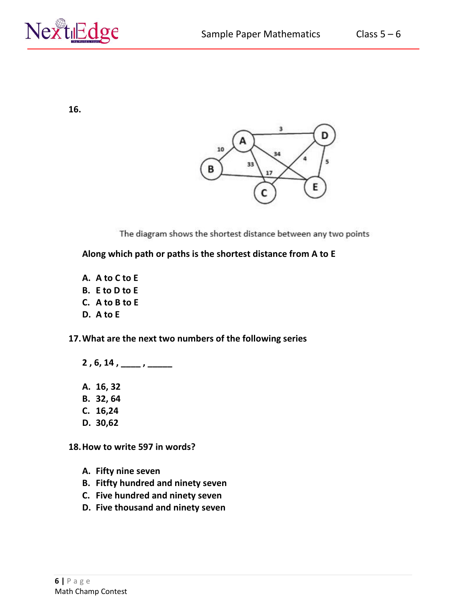

**16.**



The diagram shows the shortest distance between any two points

**Along which path or paths is the shortest distance from A to E** 

- **A. A to C to E**
- **B. E to D to E**
- **C. A to B to E**
- **D. A to E**

**17.What are the next two numbers of the following series** 

- **2 , 6, 14 , \_\_\_\_ , \_\_\_\_\_**
- **A. 16, 32**
- **B. 32, 64**
- **C. 16,24**
- **D. 30,62**

**18.How to write 597 in words?** 

- **A. Fifty nine seven**
- **B. Fitfty hundred and ninety seven**
- **C. Five hundred and ninety seven**
- **D. Five thousand and ninety seven**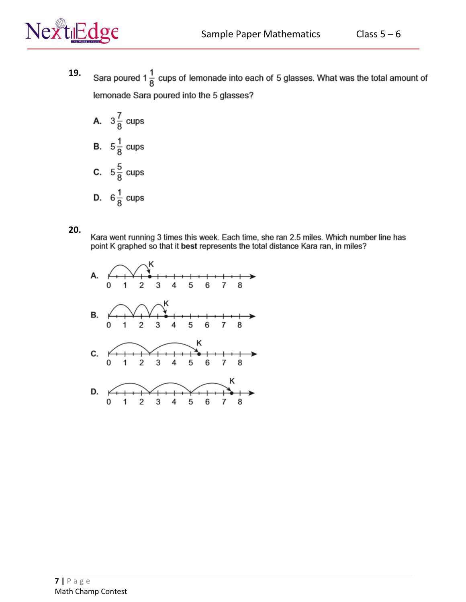



- **19.** Sara poured 1 $\frac{1}{8}$  cups of lemonade into each of 5 glasses. What was the total amount of lemonade Sara poured into the 5 glasses?
	- A.  $3\frac{7}{8}$  cups **B.**  $5\frac{1}{8}$  cups **C.**  $5\frac{5}{8}$  cups **D.**  $6\frac{1}{8}$  cups
- **20.**

Kara went running 3 times this week. Each time, she ran 2.5 miles. Which number line has point K graphed so that it best represents the total distance Kara ran, in miles?

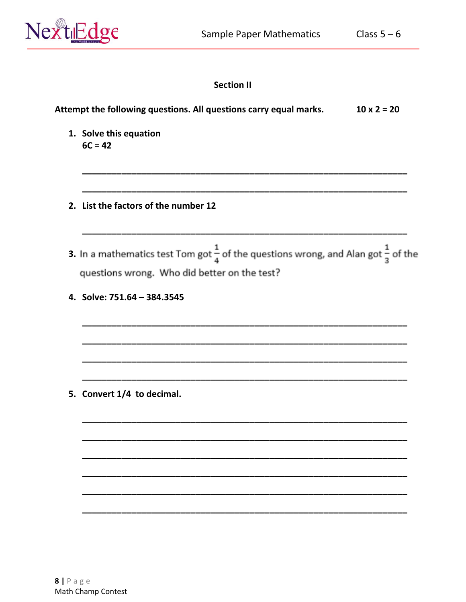

# **Section II**

| Attempt the following questions. All questions carry equal marks.<br>$10 \times 2 = 20$                                                                  |
|----------------------------------------------------------------------------------------------------------------------------------------------------------|
| 1. Solve this equation<br>$6C = 42$                                                                                                                      |
| 2. List the factors of the number 12                                                                                                                     |
| 3. In a mathematics test Tom got $\frac{1}{4}$ of the questions wrong, and Alan got $\frac{1}{3}$ of the<br>questions wrong. Who did better on the test? |
| 4. Solve: 751.64 - 384.3545                                                                                                                              |
|                                                                                                                                                          |
| 5. Convert 1/4 to decimal.                                                                                                                               |
|                                                                                                                                                          |
|                                                                                                                                                          |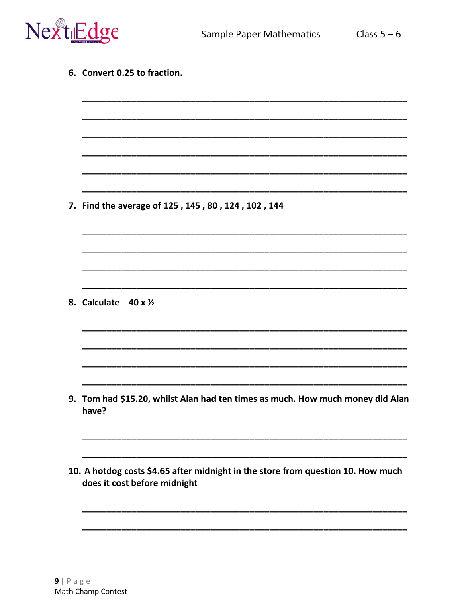

| 7. Find the average of 125, 145, 80, 124, 102, 144                                      |
|-----------------------------------------------------------------------------------------|
|                                                                                         |
|                                                                                         |
|                                                                                         |
|                                                                                         |
| 8. Calculate<br>$40 \times \frac{1}{2}$                                                 |
|                                                                                         |
|                                                                                         |
|                                                                                         |
|                                                                                         |
| 9. Tom had \$15.20, whilst Alan had ten times as much. How much money did Alan<br>have? |
|                                                                                         |
|                                                                                         |
| 10. A hotdog costs \$4.65 after midnight in the store from question 10. How much        |
|                                                                                         |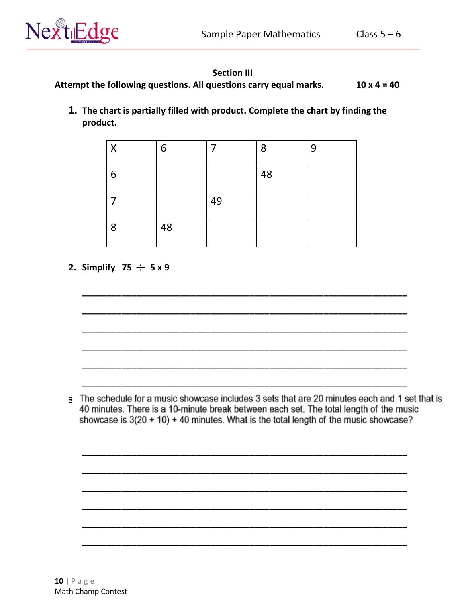

## **Section III**

Attempt the following questions. All questions carry equal marks.  $10 \times 4 = 40$ 

1. The chart is partially filled with product. Complete the chart by finding the product.

| Χ | 6  |    | 8  | 9 |
|---|----|----|----|---|
| 6 |    |    | 48 |   |
|   |    | 49 |    |   |
| 8 | 48 |    |    |   |

2. Simplify 75  $\div$  5 x 9

3 The schedule for a music showcase includes 3 sets that are 20 minutes each and 1 set that is 40 minutes. There is a 10-minute break between each set. The total length of the music showcase is  $3(20 + 10) + 40$  minutes. What is the total length of the music showcase?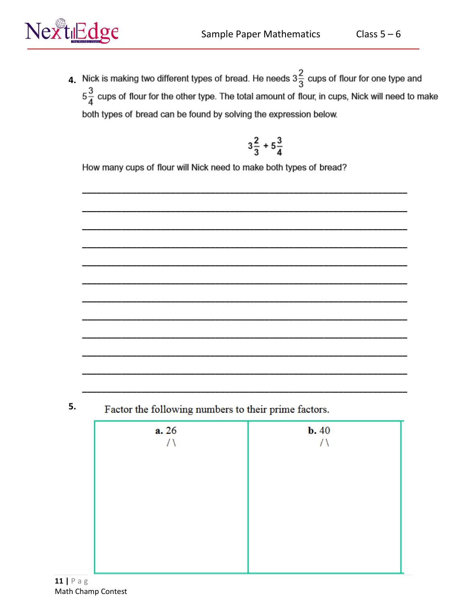Class  $5-6$ 



4. Nick is making two different types of bread. He needs  $3\frac{2}{3}$  cups of flour for one type and  $5\frac{3}{4}$  cups of flour for the other type. The total amount of flour, in cups, Nick will need to make both types of bread can be found by solving the expression below.

$$
3\frac{2}{3}+5\frac{3}{4}
$$

How many cups of flour will Nick need to make both types of bread?

5. Factor the following numbers to their prime factors.

| a. 26<br>ハ | $b. 40$<br>ハ |
|------------|--------------|
|            |              |
|            |              |
|            |              |
|            |              |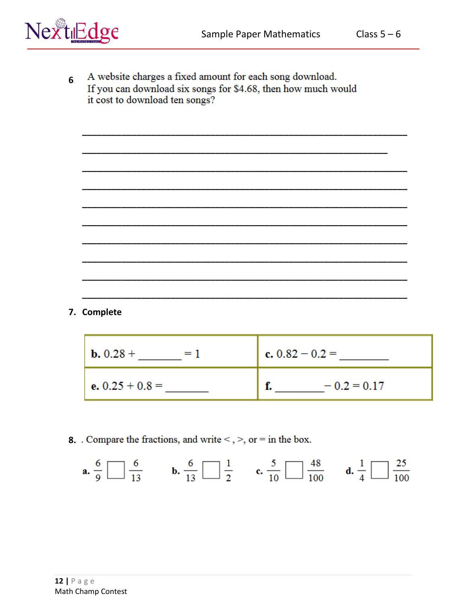Class  $5-6$ 



A website charges a fixed amount for each song download. 6 If you can download six songs for \$4.68, then how much would it cost to download ten songs?

7. Complete

**8.** Compare the fractions, and write  $\lt$ ,  $\gt$ , or  $=$  in the box.

**a.** 
$$
\frac{6}{9}
$$
  $\boxed{\phantom{0}}$   $\frac{6}{13}$  **b.**  $\frac{6}{13}$   $\boxed{\phantom{0}}$   $\frac{1}{2}$  **c.**  $\frac{5}{10}$   $\boxed{\phantom{0}}$   $\frac{48}{100}$  **d.**  $\frac{1}{4}$   $\boxed{\phantom{0}}$   $\frac{25}{100}$